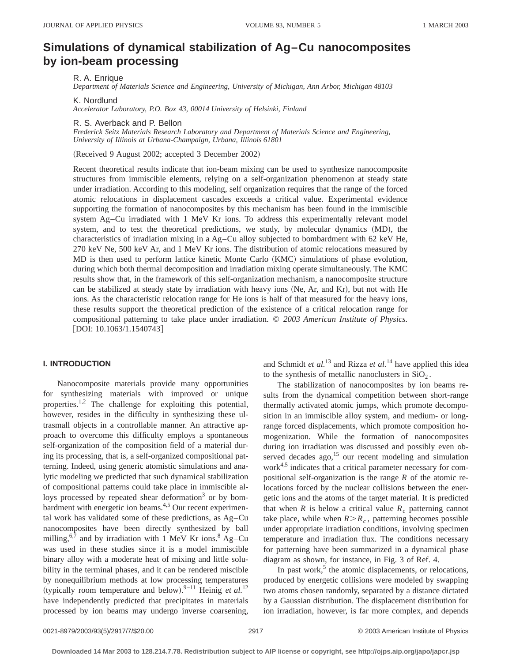# **Simulations of dynamical stabilization of Ag–Cu nanocomposites by ion-beam processing**

R. A. Enrique

*Department of Materials Science and Engineering, University of Michigan, Ann Arbor, Michigan 48103*

K. Nordlund

*Accelerator Laboratory, P.O. Box 43, 00014 University of Helsinki, Finland*

R. S. Averback and P. Bellon

*Frederick Seitz Materials Research Laboratory and Department of Materials Science and Engineering, University of Illinois at Urbana-Champaign, Urbana, Illinois 61801*

(Received 9 August 2002; accepted 3 December 2002)

Recent theoretical results indicate that ion-beam mixing can be used to synthesize nanocomposite structures from immiscible elements, relying on a self-organization phenomenon at steady state under irradiation. According to this modeling, self organization requires that the range of the forced atomic relocations in displacement cascades exceeds a critical value. Experimental evidence supporting the formation of nanocomposites by this mechanism has been found in the immiscible system Ag–Cu irradiated with 1 MeV Kr ions. To address this experimentally relevant model system, and to test the theoretical predictions, we study, by molecular dynamics  $(MD)$ , the characteristics of irradiation mixing in a Ag–Cu alloy subjected to bombardment with 62 keV He, 270 keV Ne, 500 keV Ar, and 1 MeV Kr ions. The distribution of atomic relocations measured by MD is then used to perform lattice kinetic Monte Carlo (KMC) simulations of phase evolution, during which both thermal decomposition and irradiation mixing operate simultaneously. The KMC results show that, in the framework of this self-organization mechanism, a nanocomposite structure can be stabilized at steady state by irradiation with heavy ions (Ne, Ar, and Kr), but not with He ions. As the characteristic relocation range for He ions is half of that measured for the heavy ions, these results support the theoretical prediction of the existence of a critical relocation range for compositional patterning to take place under irradiation. © *2003 American Institute of Physics.*  $[DOI: 10.1063/1.1540743]$ 

# **I. INTRODUCTION**

Nanocomposite materials provide many opportunities for synthesizing materials with improved or unique properties.<sup>1,2</sup> The challenge for exploiting this potential, however, resides in the difficulty in synthesizing these ultrasmall objects in a controllable manner. An attractive approach to overcome this difficulty employs a spontaneous self-organization of the composition field of a material during its processing, that is, a self-organized compositional patterning. Indeed, using generic atomistic simulations and analytic modeling we predicted that such dynamical stabilization of compositional patterns could take place in immiscible alloys processed by repeated shear deformation<sup>3</sup> or by bombardment with energetic ion beams.<sup>4,5</sup> Our recent experimental work has validated some of these predictions, as Ag–Cu nanocomposites have been directly synthesized by ball milling,  $6.7$  and by irradiation with 1 MeV Kr ions.  $8$  Ag–Cu was used in these studies since it is a model immiscible binary alloy with a moderate heat of mixing and little solubility in the terminal phases, and it can be rendered miscible by nonequilibrium methods at low processing temperatures (typically room temperature and below).<sup>9-11</sup> Heinig *et al.*<sup>12</sup> have independently predicted that precipitates in materials processed by ion beams may undergo inverse coarsening,

and Schmidt *et al.*<sup>13</sup> and Rizza *et al.*<sup>14</sup> have applied this idea to the synthesis of metallic nanoclusters in  $SiO<sub>2</sub>$ .

The stabilization of nanocomposites by ion beams results from the dynamical competition between short-range thermally activated atomic jumps, which promote decomposition in an immiscible alloy system, and medium- or longrange forced displacements, which promote composition homogenization. While the formation of nanocomposites during ion irradiation was discussed and possibly even observed decades  $ago<sub>15</sub>$  our recent modeling and simulation work $4.5$  indicates that a critical parameter necessary for compositional self-organization is the range *R* of the atomic relocations forced by the nuclear collisions between the energetic ions and the atoms of the target material. It is predicted that when *R* is below a critical value  $R_c$  patterning cannot take place, while when  $R > R_c$ , patterning becomes possible under appropriate irradiation conditions, involving specimen temperature and irradiation flux. The conditions necessary for patterning have been summarized in a dynamical phase diagram as shown, for instance, in Fig. 3 of Ref. 4.

In past work, $5$  the atomic displacements, or relocations, produced by energetic collisions were modeled by swapping two atoms chosen randomly, separated by a distance dictated by a Gaussian distribution. The displacement distribution for ion irradiation, however, is far more complex, and depends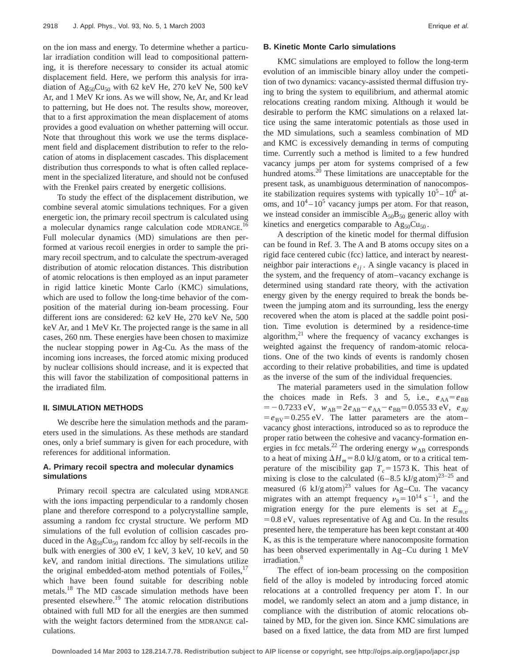on the ion mass and energy. To determine whether a particular irradiation condition will lead to compositional patterning, it is therefore necessary to consider its actual atomic displacement field. Here, we perform this analysis for irradiation of  $Ag_{50}Cu_{50}$  with 62 keV He, 270 keV Ne, 500 keV Ar, and 1 MeV Kr ions. As we will show, Ne, Ar, and Kr lead to patterning, but He does not. The results show, moreover, that to a first approximation the mean displacement of atoms provides a good evaluation on whether patterning will occur. Note that throughout this work we use the terms displacement field and displacement distribution to refer to the relocation of atoms in displacement cascades. This displacement distribution thus corresponds to what is often called replacement in the specialized literature, and should not be confused with the Frenkel pairs created by energetic collisions.

To study the effect of the displacement distribution, we combine several atomic simulations techniques. For a given energetic ion, the primary recoil spectrum is calculated using a molecular dynamics range calculation code MDRANGE.<sup>16</sup> Full molecular dynamics (MD) simulations are then performed at various recoil energies in order to sample the primary recoil spectrum, and to calculate the spectrum-averaged distribution of atomic relocation distances. This distribution of atomic relocations is then employed as an input parameter in rigid lattice kinetic Monte Carlo (KMC) simulations, which are used to follow the long-time behavior of the composition of the material during ion-beam processing. Four different ions are considered: 62 keV He, 270 keV Ne, 500 keV Ar, and 1 MeV Kr. The projected range is the same in all cases, 260 nm. These energies have been chosen to maximize the nuclear stopping power in Ag-Cu. As the mass of the incoming ions increases, the forced atomic mixing produced by nuclear collisions should increase, and it is expected that this will favor the stabilization of compositional patterns in the irradiated film.

### **II. SIMULATION METHODS**

We describe here the simulation methods and the parameters used in the simulations. As these methods are standard ones, only a brief summary is given for each procedure, with references for additional information.

# **A. Primary recoil spectra and molecular dynamics simulations**

Primary recoil spectra are calculated using MDRANGE with the ions impacting perpendicular to a randomly chosen plane and therefore correspond to a polycrystalline sample, assuming a random fcc crystal structure. We perform MD simulations of the full evolution of collision cascades produced in the  $\text{Ag}_50\text{Cu}_{50}$  random fcc alloy by self-recoils in the bulk with energies of 300 eV, 1 keV, 3 keV, 10 keV, and 50 keV, and random initial directions. The simulations utilize the original embedded-atom method potentials of Foiles, $17$ which have been found suitable for describing noble metals.18 The MD cascade simulation methods have been presented elsewhere.19 The atomic relocation distributions obtained with full MD for all the energies are then summed with the weight factors determined from the MDRANGE calculations.

## **B. Kinetic Monte Carlo simulations**

KMC simulations are employed to follow the long-term evolution of an immiscible binary alloy under the competition of two dynamics: vacancy-assisted thermal diffusion trying to bring the system to equilibrium, and athermal atomic relocations creating random mixing. Although it would be desirable to perform the KMC simulations on a relaxed lattice using the same interatomic potentials as those used in the MD simulations, such a seamless combination of MD and KMC is excessively demanding in terms of computing time. Currently such a method is limited to a few hundred vacancy jumps per atom for systems comprised of a few hundred atoms. $2\overline{0}$  These limitations are unacceptable for the present task, as unambiguous determination of nanocomposite stabilization requires systems with typically  $10^5 - 10^6$  atoms, and  $10^4 - 10^5$  vacancy jumps per atom. For that reason, we instead consider an immiscible  $A_{50}B_{50}$  generic alloy with kinetics and energetics comparable to  $Ag_{50}Cu_{50}$ .

A description of the kinetic model for thermal diffusion can be found in Ref. 3. The A and B atoms occupy sites on a rigid face centered cubic (fcc) lattice, and interact by nearestneighbor pair interactions  $e_{ij}$ . A single vacancy is placed in the system, and the frequency of atom–vacancy exchange is determined using standard rate theory, with the activation energy given by the energy required to break the bonds between the jumping atom and its surrounding, less the energy recovered when the atom is placed at the saddle point position. Time evolution is determined by a residence-time algorithm, $^{21}$  where the frequency of vacancy exchanges is weighted against the frequency of random-atomic relocations. One of the two kinds of events is randomly chosen according to their relative probabilities, and time is updated as the inverse of the sum of the individual frequencies.

The material parameters used in the simulation follow the choices made in Refs. 3 and 5, i.e.,  $e_{AA} = e_{BB}$  $=$  -0.7233 eV,  $w_{AB}$ =2 $e_{AB}$  -  $e_{AA}$  -  $e_{BB}$  = 0.055 33 eV,  $e_{AY}$  $= e_{\text{BV}} = 0.255$  eV. The latter parameters are the atomvacancy ghost interactions, introduced so as to reproduce the proper ratio between the cohesive and vacancy-formation energies in fcc metals.<sup>22</sup> The ordering energy  $w_{AB}$  corresponds to a heat of mixing  $\Delta H_m$ = 8.0 kJ/g atom, or to a critical temperature of the miscibility gap  $T_c = 1573$  K. This heat of mixing is close to the calculated  $(6-8.5 \text{ kJ/g atom})^{23-25}$  and measured (6 kJ/g atom)<sup>23</sup> values for Ag–Cu. The vacancy migrates with an attempt frequency  $v_0 = 10^{14} \text{ s}^{-1}$ , and the migration energy for the pure elements is set at  $E_{m,v}$  $=0.8$  eV, values representative of Ag and Cu. In the results presented here, the temperature has been kept constant at 400 K, as this is the temperature where nanocomposite formation has been observed experimentally in Ag–Cu during 1 MeV irradiation.<sup>8</sup>

The effect of ion-beam processing on the composition field of the alloy is modeled by introducing forced atomic relocations at a controlled frequency per atom  $\Gamma$ . In our model, we randomly select an atom and a jump distance, in compliance with the distribution of atomic relocations obtained by MD, for the given ion. Since KMC simulations are based on a fixed lattice, the data from MD are first lumped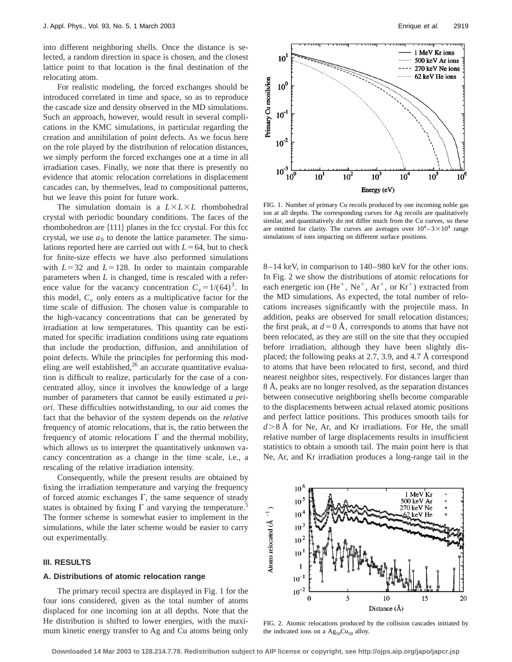into different neighboring shells. Once the distance is selected, a random direction in space is chosen, and the closest lattice point to that location is the final destination of the relocating atom.

For realistic modeling, the forced exchanges should be introduced correlated in time and space, so as to reproduce the cascade size and density observed in the MD simulations. Such an approach, however, would result in several complications in the KMC simulations, in particular regarding the creation and annihilation of point defects. As we focus here on the role played by the distribution of relocation distances, we simply perform the forced exchanges one at a time in all irradiation cases. Finally, we note that there is presently no evidence that atomic relocation correlations in displacement cascades can, by themselves, lead to compositional patterns, but we leave this point for future work.

The simulation domain is a  $L \times L \times L$  rhombohedral crystal with periodic boundary conditions. The faces of the rhombohedron are  $\{111\}$  planes in the fcc crystal. For this fcc crystal, we use  $a_0$  to denote the lattice parameter. The simulations reported here are carried out with  $L=64$ , but to check for finite-size effects we have also performed simulations with  $L=32$  and  $L=128$ . In order to maintain comparable parameters when *L* is changed, time is rescaled with a reference value for the vacancy concentration  $C_v = 1/(64)^3$ . In this model,  $C_v$  only enters as a multiplicative factor for the time scale of diffusion. The chosen value is comparable to the high-vacancy concentrations that can be generated by irradiation at low temperatures. This quantity can be estimated for specific irradiation conditions using rate equations that include the production, diffusion, and annihilation of point defects. While the principles for performing this modeling are well established, $26$  an accurate quantitative evaluation is difficult to realize, particularly for the case of a concentrated alloy, since it involves the knowledge of a large number of parameters that cannot be easily estimated *a priori*. These difficulties notwithstanding, to our aid comes the fact that the behavior of the system depends on the *relative* frequency of atomic relocations, that is, the ratio between the frequency of atomic relocations  $\Gamma$  and the thermal mobility, which allows us to interpret the quantitatively unknown vacancy concentration as a change in the time scale, i.e., a rescaling of the relative irradiation intensity.

Consequently, while the present results are obtained by fixing the irradiation temperature and varying the frequency of forced atomic exchanges  $\Gamma$ , the same sequence of steady states is obtained by fixing  $\Gamma$  and varying the temperature.<sup>5</sup> The former scheme is somewhat easier to implement in the simulations, while the later scheme would be easier to carry out experimentally.

#### **III. RESULTS**

#### **A. Distributions of atomic relocation range**

The primary recoil spectra are displayed in Fig. 1 for the four ions considered, given as the total number of atoms displaced for one incoming ion at all depths. Note that the He distribution is shifted to lower energies, with the maximum kinetic energy transfer to Ag and Cu atoms being only



FIG. 1. Number of primary Cu recoils produced by one incoming noble gas ion at all depths. The corresponding curves for Ag recoils are qualitatively similar, and quantitatively do not differ much from the Cu curves, so these are omitted for clarity. The curves are averages over  $10^4 - 3 \times 10^4$  range simulations of ions impacting on different surface positions.

8–14 keV, in comparison to 140–980 keV for the other ions. In Fig. 2 we show the distributions of atomic relocations for each energetic ion  $(He^+, Ne^+, Ar^+, or Kr^+)$  extracted from the MD simulations. As expected, the total number of relocations increases significantly with the projectile mass. In addition, peaks are observed for small relocation distances; the first peak, at  $d=0$  Å, corresponds to atoms that have not been relocated, as they are still on the site that they occupied before irradiation, although they have been slightly displaced; the following peaks at 2.7, 3.9, and 4.7 Å correspond to atoms that have been relocated to first, second, and third nearest neighbor sites, respectively. For distances larger than 8 Å, peaks are no longer resolved, as the separation distances between consecutive neighboring shells become comparable to the displacements between actual relaxed atomic positions and perfect lattice positions. This produces smooth tails for  $d > 8$  Å for Ne, Ar, and Kr irradiations. For He, the small relative number of large displacements results in insufficient statistics to obtain a smooth tail. The main point here is that Ne, Ar, and Kr irradiation produces a long-range tail in the



FIG. 2. Atomic relocations produced by the collision cascades initiated by the indicated ions on a  $\text{Ag}_{50}\text{Cu}_{50}$  alloy.

**Downloaded 14 Mar 2003 to 128.214.7.78. Redistribution subject to AIP license or copyright, see http://ojps.aip.org/japo/japcr.jsp**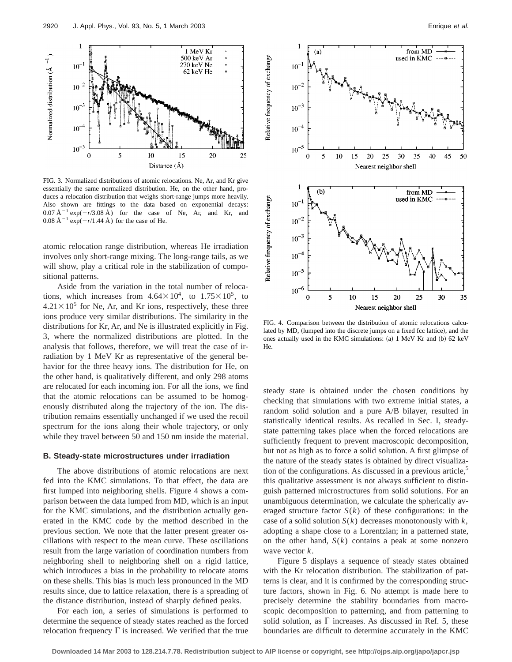

FIG. 3. Normalized distributions of atomic relocations. Ne, Ar, and Kr give essentially the same normalized distribution. He, on the other hand, produces a relocation distribution that weighs short-range jumps more heavily. Also shown are fittings to the data based on exponential decays:  $0.07 \text{ Å}^{-1} \exp(-r/3.08 \text{ Å})$  for the case of Ne, Ar, and Kr, and  $0.08 \text{ Å}^{-1} \exp(-r/1.44 \text{ Å})$  for the case of He.

atomic relocation range distribution, whereas He irradiation involves only short-range mixing. The long-range tails, as we will show, play a critical role in the stabilization of compositional patterns.

Aside from the variation in the total number of relocations, which increases from  $4.64 \times 10^4$ , to  $1.75 \times 10^5$ , to  $4.21 \times 10^5$  for Ne, Ar, and Kr ions, respectively, these three ions produce very similar distributions. The similarity in the distributions for Kr, Ar, and Ne is illustrated explicitly in Fig. 3, where the normalized distributions are plotted. In the analysis that follows, therefore, we will treat the case of irradiation by 1 MeV Kr as representative of the general behavior for the three heavy ions. The distribution for He, on the other hand, is qualitatively different, and only 298 atoms are relocated for each incoming ion. For all the ions, we find that the atomic relocations can be assumed to be homogenously distributed along the trajectory of the ion. The distribution remains essentially unchanged if we used the recoil spectrum for the ions along their whole trajectory, or only while they travel between 50 and 150 nm inside the material.

#### **B. Steady-state microstructures under irradiation**

The above distributions of atomic relocations are next fed into the KMC simulations. To that effect, the data are first lumped into neighboring shells. Figure 4 shows a comparison between the data lumped from MD, which is an input for the KMC simulations, and the distribution actually generated in the KMC code by the method described in the previous section. We note that the latter present greater oscillations with respect to the mean curve. These oscillations result from the large variation of coordination numbers from neighboring shell to neighboring shell on a rigid lattice, which introduces a bias in the probability to relocate atoms on these shells. This bias is much less pronounced in the MD results since, due to lattice relaxation, there is a spreading of the distance distribution, instead of sharply defined peaks.

For each ion, a series of simulations is performed to determine the sequence of steady states reached as the forced relocation frequency  $\Gamma$  is increased. We verified that the true



FIG. 4. Comparison between the distribution of atomic relocations calculated by MD, (lumped into the discrete jumps on a fixed fcc lattice), and the ones actually used in the KMC simulations:  $(a)$  1 MeV Kr and  $(b)$  62 keV He.

steady state is obtained under the chosen conditions by checking that simulations with two extreme initial states, a random solid solution and a pure A/B bilayer, resulted in statistically identical results. As recalled in Sec. I, steadystate patterning takes place when the forced relocations are sufficiently frequent to prevent macroscopic decomposition, but not as high as to force a solid solution. A first glimpse of the nature of the steady states is obtained by direct visualization of the configurations. As discussed in a previous article, $5$ this qualitative assessment is not always sufficient to distinguish patterned microstructures from solid solutions. For an unambiguous determination, we calculate the spherically averaged structure factor  $S(k)$  of these configurations: in the case of a solid solution *S*(*k*) decreases monotonously with *k*, adopting a shape close to a Lorentzian; in a patterned state, on the other hand,  $S(k)$  contains a peak at some nonzero wave vector *k*.

Figure 5 displays a sequence of steady states obtained with the Kr relocation distribution. The stabilization of patterns is clear, and it is confirmed by the corresponding structure factors, shown in Fig. 6. No attempt is made here to precisely determine the stability boundaries from macroscopic decomposition to patterning, and from patterning to solid solution, as  $\Gamma$  increases. As discussed in Ref. 5, these boundaries are difficult to determine accurately in the KMC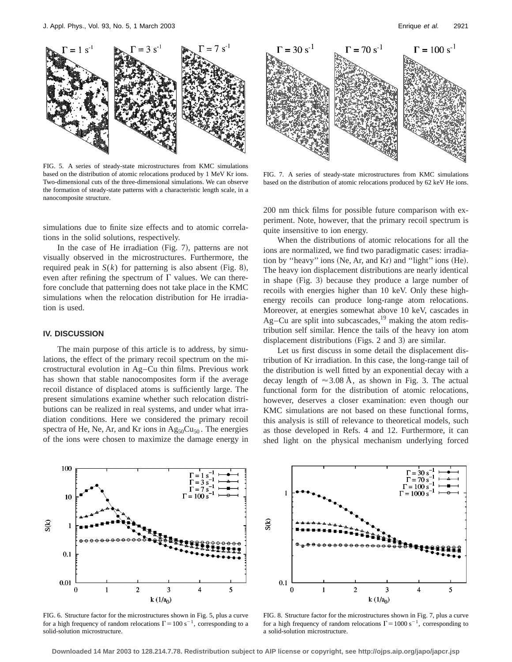

FIG. 5. A series of steady-state microstructures from KMC simulations based on the distribution of atomic relocations produced by 1 MeV Kr ions. Two-dimensional cuts of the three-dimensional simulations. We can observe the formation of steady-state patterns with a characteristic length scale, in a nanocomposite structure.

simulations due to finite size effects and to atomic correlations in the solid solutions, respectively.

In the case of He irradiation  $(Fig. 7)$ , patterns are not visually observed in the microstructures. Furthermore, the required peak in  $S(k)$  for patterning is also absent (Fig. 8), even after refining the spectrum of  $\Gamma$  values. We can therefore conclude that patterning does not take place in the KMC simulations when the relocation distribution for He irradiation is used.

#### **IV. DISCUSSION**

The main purpose of this article is to address, by simulations, the effect of the primary recoil spectrum on the microstructural evolution in Ag–Cu thin films. Previous work has shown that stable nanocomposites form if the average recoil distance of displaced atoms is sufficiently large. The present simulations examine whether such relocation distributions can be realized in real systems, and under what irradiation conditions. Here we considered the primary recoil spectra of He, Ne, Ar, and Kr ions in  $Ag_{50}Cu_{50}$ . The energies of the ions were chosen to maximize the damage energy in



FIG. 7. A series of steady-state microstructures from KMC simulations based on the distribution of atomic relocations produced by 62 keV He ions.

200 nm thick films for possible future comparison with experiment. Note, however, that the primary recoil spectrum is quite insensitive to ion energy.

When the distributions of atomic relocations for all the ions are normalized, we find two paradigmatic cases: irradiation by "heavy" ions (Ne, Ar, and Kr) and "light" ions  $(He)$ . The heavy ion displacement distributions are nearly identical in shape  $(Fig. 3)$  because they produce a large number of recoils with energies higher than 10 keV. Only these highenergy recoils can produce long-range atom relocations. Moreover, at energies somewhat above 10 keV, cascades in Ag–Cu are split into subcascades, $19$  making the atom redistribution self similar. Hence the tails of the heavy ion atom displacement distributions (Figs. 2 and 3) are similar.

Let us first discuss in some detail the displacement distribution of Kr irradiation. In this case, the long-range tail of the distribution is well fitted by an exponential decay with a decay length of  $\approx$  3.08 Å, as shown in Fig. 3. The actual functional form for the distribution of atomic relocations, however, deserves a closer examination: even though our KMC simulations are not based on these functional forms, this analysis is still of relevance to theoretical models, such as those developed in Refs. 4 and 12. Furthermore, it can shed light on the physical mechanism underlying forced



FIG. 6. Structure factor for the microstructures shown in Fig. 5, plus a curve for a high frequency of random relocations  $\Gamma = 100 \text{ s}^{-1}$ , corresponding to a solid-solution microstructure.



FIG. 8. Structure factor for the microstructures shown in Fig. 7, plus a curve for a high frequency of random relocations  $\Gamma = 1000 \text{ s}^{-1}$ , corresponding to a solid-solution microstructure.

**Downloaded 14 Mar 2003 to 128.214.7.78. Redistribution subject to AIP license or copyright, see http://ojps.aip.org/japo/japcr.jsp**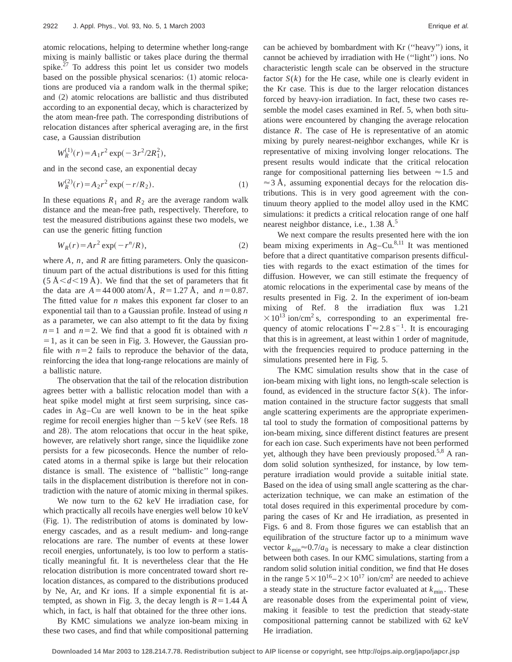atomic relocations, helping to determine whether long-range mixing is mainly ballistic or takes place during the thermal spike.<sup>27</sup> To address this point let us consider two models based on the possible physical scenarios:  $(1)$  atomic relocations are produced via a random walk in the thermal spike; and  $(2)$  atomic relocations are ballistic and thus distributed according to an exponential decay, which is characterized by the atom mean-free path. The corresponding distributions of relocation distances after spherical averaging are, in the first case, a Gaussian distribution

$$
W_R^{(1)}(r) = A_1 r^2 \exp(-3r^2/2R_1^2),
$$

and in the second case, an exponential decay

$$
W_R^{(2)}(r) = A_2 r^2 \exp(-r/R_2).
$$
 (1)

In these equations  $R_1$  and  $R_2$  are the average random walk distance and the mean-free path, respectively. Therefore, to test the measured distributions against these two models, we can use the generic fitting function

$$
W_R(r) = Ar^2 \exp(-r^n/R), \qquad (2)
$$

where *A*, *n*, and *R* are fitting parameters. Only the quasicontinuum part of the actual distributions is used for this fitting  $(5 \text{ Å} < d < 19 \text{ Å})$ . We find that the set of parameters that fit the data are  $A = 44000$  atom/ $\AA$ ,  $R = 1.27$   $\AA$ , and  $n = 0.87$ . The fitted value for *n* makes this exponent far closer to an exponential tail than to a Gaussian profile. Instead of using *n* as a parameter, we can also attempt to fit the data by fixing  $n=1$  and  $n=2$ . We find that a good fit is obtained with *n*  $=$  1, as it can be seen in Fig. 3. However, the Gaussian profile with  $n=2$  fails to reproduce the behavior of the data, reinforcing the idea that long-range relocations are mainly of a ballistic nature.

The observation that the tail of the relocation distribution agrees better with a ballistic relocation model than with a heat spike model might at first seem surprising, since cascades in Ag–Cu are well known to be in the heat spike regime for recoil energies higher than  $\sim$  5 keV (see Refs. 18) and 28). The atom relocations that occur in the heat spike, however, are relatively short range, since the liquidlike zone persists for a few picoseconds. Hence the number of relocated atoms in a thermal spike is large but their relocation distance is small. The existence of ''ballistic'' long-range tails in the displacement distribution is therefore not in contradiction with the nature of atomic mixing in thermal spikes.

We now turn to the 62 keV He irradiation case, for which practically all recoils have energies well below 10 keV  $(Fig. 1)$ . The redistribution of atoms is dominated by lowenergy cascades, and as a result medium- and long-range relocations are rare. The number of events at these lower recoil energies, unfortunately, is too low to perform a statistically meaningful fit. It is nevertheless clear that the He relocation distribution is more concentrated toward short relocation distances, as compared to the distributions produced by Ne, Ar, and Kr ions. If a simple exponential fit is attempted, as shown in Fig. 3, the decay length is  $R=1.44$  Å which, in fact, is half that obtained for the three other ions.

By KMC simulations we analyze ion-beam mixing in these two cases, and find that while compositional patterning can be achieved by bombardment with Kr ("heavy") ions, it cannot be achieved by irradiation with He ("light") ions. No characteristic length scale can be observed in the structure factor  $S(k)$  for the He case, while one is clearly evident in the Kr case. This is due to the larger relocation distances forced by heavy-ion irradiation. In fact, these two cases resemble the model cases examined in Ref. 5, when both situations were encountered by changing the average relocation distance *R*. The case of He is representative of an atomic mixing by purely nearest-neighbor exchanges, while Kr is representative of mixing involving longer relocations. The present results would indicate that the critical relocation range for compositional patterning lies between  $\approx 1.5$  and  $\approx$  3 Å, assuming exponential decays for the relocation distributions. This is in very good agreement with the continuum theory applied to the model alloy used in the KMC simulations: it predicts a critical relocation range of one half nearest neighbor distance, i.e., 1.38 Å.<sup>5</sup>

We next compare the results presented here with the ion beam mixing experiments in  $Ag-Cu$ .<sup>8,11</sup> It was mentioned before that a direct quantitative comparison presents difficulties with regards to the exact estimation of the times for diffusion. However, we can still estimate the frequency of atomic relocations in the experimental case by means of the results presented in Fig. 2. In the experiment of ion-beam mixing of Ref. 8 the irradiation flux was 1.21  $\times$ 10<sup>13</sup> ion/cm<sup>2</sup> s, corresponding to an experimental frequency of atomic relocations  $\Gamma \approx 2.8 \text{ s}^{-1}$ . It is encouraging that this is in agreement, at least within 1 order of magnitude, with the frequencies required to produce patterning in the simulations presented here in Fig. 5.

The KMC simulation results show that in the case of ion-beam mixing with light ions, no length-scale selection is found, as evidenced in the structure factor  $S(k)$ . The information contained in the structure factor suggests that small angle scattering experiments are the appropriate experimental tool to study the formation of compositional patterns by ion-beam mixing, since different distinct features are present for each ion case. Such experiments have not been performed yet, although they have been previously proposed.<sup>5,8</sup> A random solid solution synthesized, for instance, by low temperature irradiation would provide a suitable initial state. Based on the idea of using small angle scattering as the characterization technique, we can make an estimation of the total doses required in this experimental procedure by comparing the cases of Kr and He irradiation, as presented in Figs. 6 and 8. From those figures we can establish that an equilibration of the structure factor up to a minimum wave vector  $k_{\text{min}} \approx 0.7/a_0$  is necessary to make a clear distinction between both cases. In our KMC simulations, starting from a random solid solution initial condition, we find that He doses in the range  $5 \times 10^{16} - 2 \times 10^{17}$  ion/cm<sup>2</sup> are needed to achieve a steady state in the structure factor evaluated at  $k_{\text{min}}$ . These are reasonable doses from the experimental point of view, making it feasible to test the prediction that steady-state compositional patterning cannot be stabilized with 62 keV He irradiation.